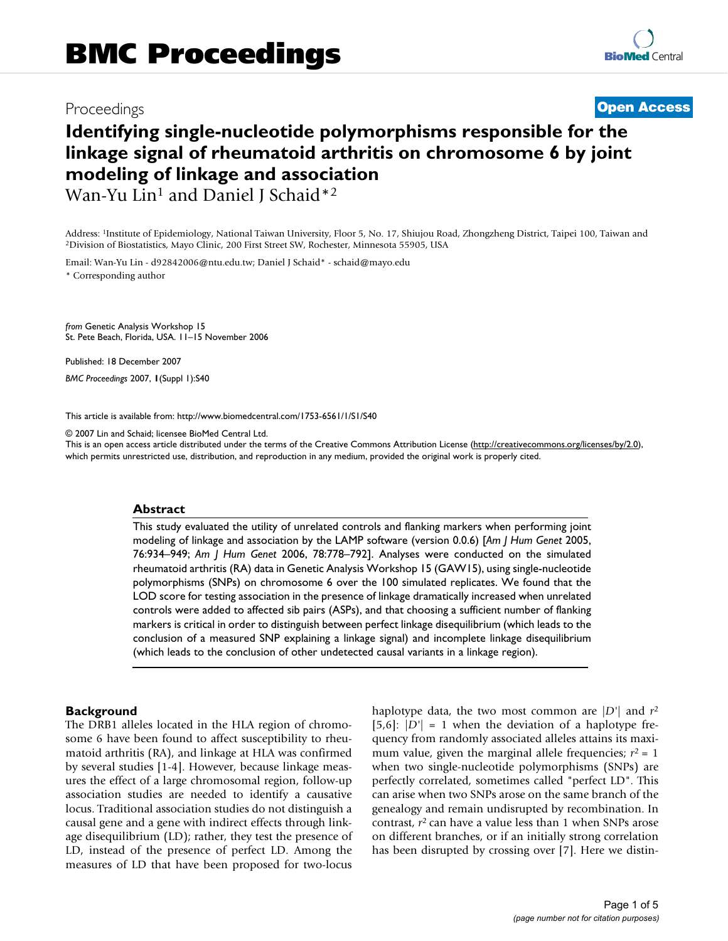# Proceedings **[Open Access](http://www.biomedcentral.com/info/about/charter/)**

# **Identifying single-nucleotide polymorphisms responsible for the linkage signal of rheumatoid arthritis on chromosome 6 by joint modeling of linkage and association**

Wan-Yu Lin<sup>1</sup> and Daniel J Schaid<sup>\*2</sup>

Address: <sup>1</sup>Institute of Epidemiology, National Taiwan University, Floor 5, No. 17, Shiujou Road, Zhongzheng District, Taipei 100, Taiwan and <sup>2</sup>Division of Biostatistics, Mayo Clinic, 200 First Street SW, Rochester, Minne

Email: Wan-Yu Lin - d92842006@ntu.edu.tw; Daniel J Schaid\* - schaid@mayo.edu

\* Corresponding author

*from* Genetic Analysis Workshop 15 St. Pete Beach, Florida, USA. 11–15 November 2006

Published: 18 December 2007

*BMC Proceedings* 2007, **1**(Suppl 1):S40

[This article is available from: http://www.biomedcentral.com/1753-6561/1/S1/S40](http://www.biomedcentral.com/1753-6561/1/S1/S40)

© 2007 Lin and Schaid; licensee BioMed Central Ltd.

This is an open access article distributed under the terms of the Creative Commons Attribution License [\(http://creativecommons.org/licenses/by/2.0\)](http://creativecommons.org/licenses/by/2.0), which permits unrestricted use, distribution, and reproduction in any medium, provided the original work is properly cited.

# **Abstract**

This study evaluated the utility of unrelated controls and flanking markers when performing joint modeling of linkage and association by the LAMP software (version 0.0.6) [*Am J Hum Genet* 2005, 76:934–949; *Am J Hum Genet* 2006, 78:778–792]. Analyses were conducted on the simulated rheumatoid arthritis (RA) data in Genetic Analysis Workshop 15 (GAW15), using single-nucleotide polymorphisms (SNPs) on chromosome 6 over the 100 simulated replicates. We found that the LOD score for testing association in the presence of linkage dramatically increased when unrelated controls were added to affected sib pairs (ASPs), and that choosing a sufficient number of flanking markers is critical in order to distinguish between perfect linkage disequilibrium (which leads to the conclusion of a measured SNP explaining a linkage signal) and incomplete linkage disequilibrium (which leads to the conclusion of other undetected causal variants in a linkage region).

#### **Background**

The DRB1 alleles located in the HLA region of chromosome 6 have been found to affect susceptibility to rheumatoid arthritis (RA), and linkage at HLA was confirmed by several studies [1-4]. However, because linkage measures the effect of a large chromosomal region, follow-up association studies are needed to identify a causative locus. Traditional association studies do not distinguish a causal gene and a gene with indirect effects through linkage disequilibrium (LD); rather, they test the presence of LD, instead of the presence of perfect LD. Among the measures of LD that have been proposed for two-locus haplotype data, the two most common are |*D'*| and *r*<sup>2</sup> [5,6]:  $|D'| = 1$  when the deviation of a haplotype frequency from randomly associated alleles attains its maximum value, given the marginal allele frequencies;  $r^2 = 1$ when two single-nucleotide polymorphisms (SNPs) are perfectly correlated, sometimes called "perfect LD". This can arise when two SNPs arose on the same branch of the genealogy and remain undisrupted by recombination. In contrast, *r*2 can have a value less than 1 when SNPs arose on different branches, or if an initially strong correlation has been disrupted by crossing over [7]. Here we distin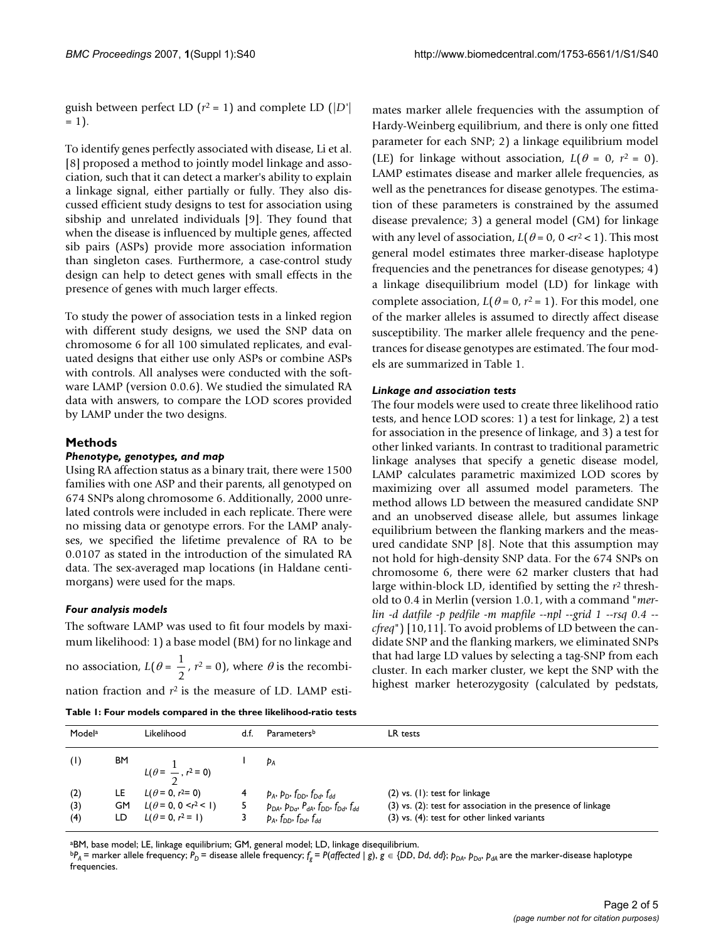guish between perfect LD  $(r^2 = 1)$  and complete LD  $(|D'|$  $= 1$ ).

To identify genes perfectly associated with disease, Li et al. [8] proposed a method to jointly model linkage and association, such that it can detect a marker's ability to explain a linkage signal, either partially or fully. They also discussed efficient study designs to test for association using sibship and unrelated individuals [9]. They found that when the disease is influenced by multiple genes, affected sib pairs (ASPs) provide more association information than singleton cases. Furthermore, a case-control study design can help to detect genes with small effects in the presence of genes with much larger effects.

To study the power of association tests in a linked region with different study designs, we used the SNP data on chromosome 6 for all 100 simulated replicates, and evaluated designs that either use only ASPs or combine ASPs with controls. All analyses were conducted with the software LAMP (version 0.0.6). We studied the simulated RA data with answers, to compare the LOD scores provided by LAMP under the two designs.

# **Methods**

## *Phenotype, genotypes, and map*

Using RA affection status as a binary trait, there were 1500 families with one ASP and their parents, all genotyped on 674 SNPs along chromosome 6. Additionally, 2000 unrelated controls were included in each replicate. There were no missing data or genotype errors. For the LAMP analyses, we specified the lifetime prevalence of RA to be 0.0107 as stated in the introduction of the simulated RA data. The sex-averaged map locations (in Haldane centimorgans) were used for the maps.

# *Four analysis models*

The software LAMP was used to fit four models by maximum likelihood: 1) a base model (BM) for no linkage and no association,  $L(\theta = \frac{1}{\epsilon}, r^2 = 0)$ , where  $\theta$  is the recombination fraction and *r*2 is the measure of LD. LAMP esti-2

**Table 1: Four models compared in the three likelihood-ratio tests**

mates marker allele frequencies with the assumption of Hardy-Weinberg equilibrium, and there is only one fitted parameter for each SNP; 2) a linkage equilibrium model (LE) for linkage without association,  $L(\theta = 0, r^2 = 0)$ . LAMP estimates disease and marker allele frequencies, as well as the penetrances for disease genotypes. The estimation of these parameters is constrained by the assumed disease prevalence; 3) a general model (GM) for linkage with any level of association,  $L(\theta = 0, 0 < r^2 < 1)$ . This most general model estimates three marker-disease haplotype frequencies and the penetrances for disease genotypes; 4) a linkage disequilibrium model (LD) for linkage with complete association,  $L(\theta = 0, r^2 = 1)$ . For this model, one of the marker alleles is assumed to directly affect disease susceptibility. The marker allele frequency and the penetrances for disease genotypes are estimated. The four models are summarized in Table 1.

## *Linkage and association tests*

The four models were used to create three likelihood ratio tests, and hence LOD scores: 1) a test for linkage, 2) a test for association in the presence of linkage, and 3) a test for other linked variants. In contrast to traditional parametric linkage analyses that specify a genetic disease model, LAMP calculates parametric maximized LOD scores by maximizing over all assumed model parameters. The method allows LD between the measured candidate SNP and an unobserved disease allele, but assumes linkage equilibrium between the flanking markers and the measured candidate SNP [8]. Note that this assumption may not hold for high-density SNP data. For the 674 SNPs on chromosome 6, there were 62 marker clusters that had large within-block LD, identified by setting the *r*2 threshold to 0.4 in Merlin (version 1.0.1, with a command "*merlin -d datfile -p pedfile -m mapfile --npl --grid 1 --rsq 0.4 - cfreq*") [10,11]. To avoid problems of LD between the candidate SNP and the flanking markers, we eliminated SNPs that had large LD values by selecting a tag-SNP from each cluster. In each marker cluster, we kept the SNP with the highest marker heterozygosity (calculated by pedstats,

| Model <sup>a</sup> |                | Likelihood                                                                               | d.f. | Parametersb                                                                                                                                                 | LR tests                                                                                                                                               |
|--------------------|----------------|------------------------------------------------------------------------------------------|------|-------------------------------------------------------------------------------------------------------------------------------------------------------------|--------------------------------------------------------------------------------------------------------------------------------------------------------|
| (1)                | ΒM             | $L(\theta = \frac{1}{2}, r^2 = 0)$                                                       |      | P <sub>A</sub>                                                                                                                                              |                                                                                                                                                        |
| (2)<br>(3)<br>(4)  | LE<br>GM<br>LD | $L(\theta = 0, r^2 = 0)$<br>$L(\theta = 0, 0 \le r^2 \le 1)$<br>$L(\theta = 0, r^2 = 1)$ |      | $p_A$ , $p_D$ , $f_{DD}$ , $f_{Dd}$ , $f_{dd}$<br>$p_{DA}$ , $p_{Da}$ , $P_{dA}$ , $f_{DD}$ , $f_{Dd}$ , $f_{dd}$<br>$p_A$ , $f_{DD}$ , $f_{Dd}$ , $f_{dd}$ | $(2)$ vs. $(1)$ : test for linkage<br>(3) vs. (2): test for association in the presence of linkage<br>$(3)$ vs. $(4)$ : test for other linked variants |

aBM, base model; LE, linkage equilibrium; GM, general model; LD, linkage disequilibrium.

 ${}^{\text{b}}P_A$  = marker allele frequency;  $P_D$  = disease allele frequency;  $f_g$  = P(affected | g),  $g \in$  {DD, Dd, dd};  $p_{DA}$ ,  $p_{DA}$ ,  $p_{da}$  are the marker-disease haplotype frequencies.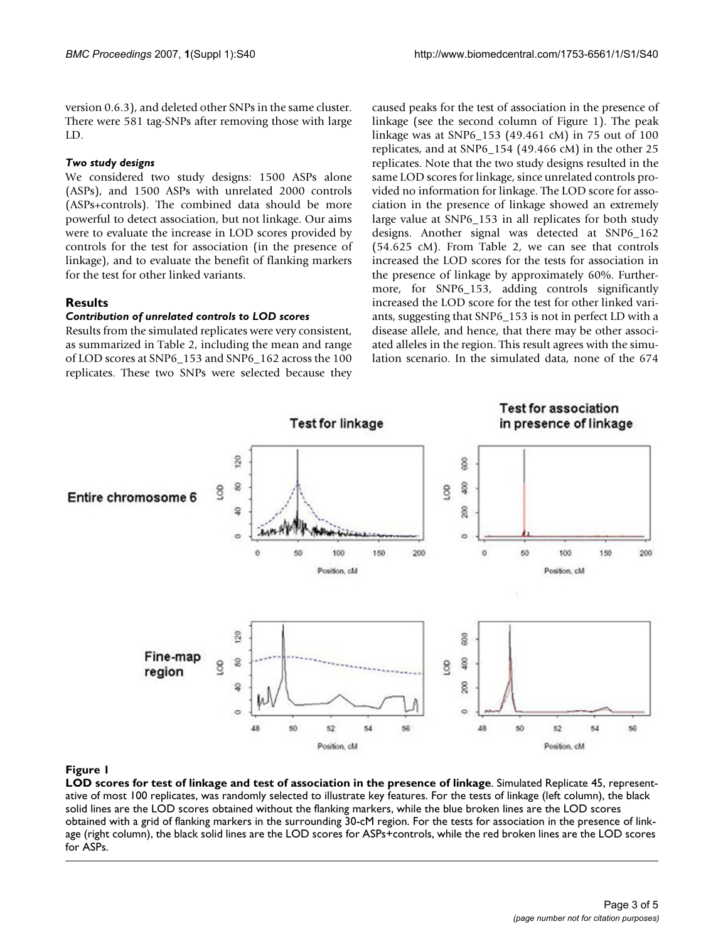version 0.6.3), and deleted other SNPs in the same cluster. There were 581 tag-SNPs after removing those with large LD.

# *Two study designs*

We considered two study designs: 1500 ASPs alone (ASPs), and 1500 ASPs with unrelated 2000 controls (ASPs+controls). The combined data should be more powerful to detect association, but not linkage. Our aims were to evaluate the increase in LOD scores provided by controls for the test for association (in the presence of linkage), and to evaluate the benefit of flanking markers for the test for other linked variants.

# **Results**

# *Contribution of unrelated controls to LOD scores*

Results from the simulated replicates were very consistent, as summarized in Table 2, including the mean and range of LOD scores at SNP6\_153 and SNP6\_162 across the 100 replicates. These two SNPs were selected because they caused peaks for the test of association in the presence of linkage (see the second column of Figure 1). The peak linkage was at SNP6\_153 (49.461 cM) in 75 out of 100 replicates, and at SNP6\_154 (49.466 cM) in the other 25 replicates. Note that the two study designs resulted in the same LOD scores for linkage, since unrelated controls provided no information for linkage. The LOD score for association in the presence of linkage showed an extremely large value at SNP6\_153 in all replicates for both study designs. Another signal was detected at SNP6\_162 (54.625 cM). From Table 2, we can see that controls increased the LOD scores for the tests for association in the presence of linkage by approximately 60%. Furthermore, for SNP6\_153, adding controls significantly increased the LOD score for the test for other linked variants, suggesting that SNP6\_153 is not in perfect LD with a disease allele, and hence, that there may be other associated alleles in the region. This result agrees with the simulation scenario. In the simulated data, none of the 674



# LOD scores for test of linkage and test **Figure 1** of association in the presence of linkage

**LOD scores for test of linkage and test of association in the presence of linkage**. Simulated Replicate 45, representative of most 100 replicates, was randomly selected to illustrate key features. For the tests of linkage (left column), the black solid lines are the LOD scores obtained without the flanking markers, while the blue broken lines are the LOD scores obtained with a grid of flanking markers in the surrounding 30-cM region. For the tests for association in the presence of linkage (right column), the black solid lines are the LOD scores for ASPs+controls, while the red broken lines are the LOD scores for ASPs.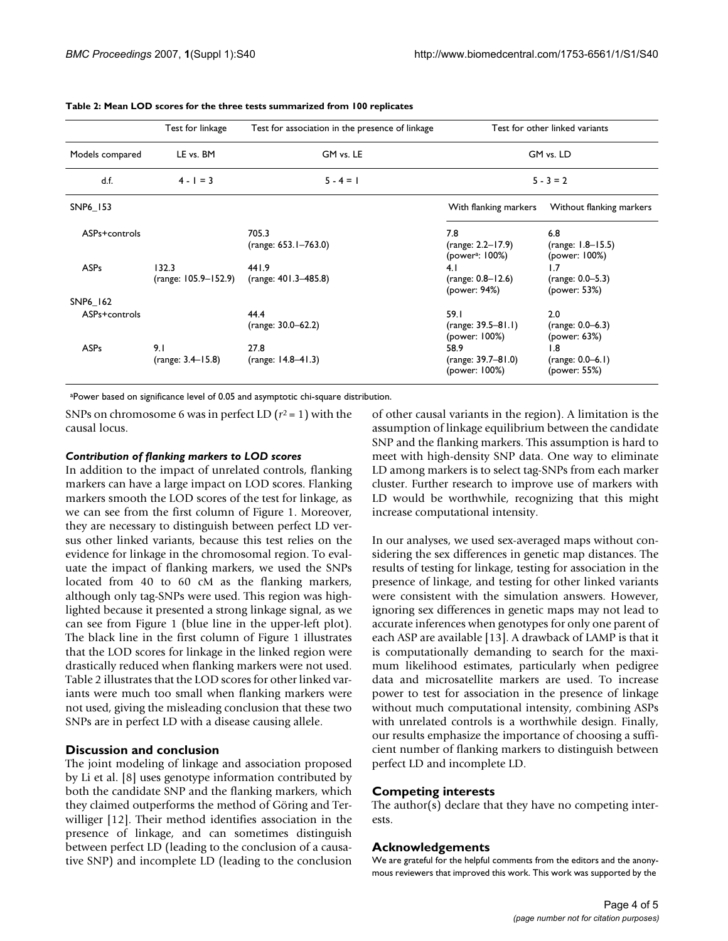|                            | Test for linkage              | Test for association in the presence of linkage | Test for other linked variants<br>GM vs. LD             |                                           |
|----------------------------|-------------------------------|-------------------------------------------------|---------------------------------------------------------|-------------------------------------------|
| Models compared            | LE vs. BM                     | GM vs. LE                                       |                                                         |                                           |
| d.f.                       | $4 - 1 = 3$                   | $5 - 4 = 1$                                     | $5 - 3 = 2$                                             |                                           |
| SNP6 153                   |                               |                                                 | With flanking markers                                   | Without flanking markers                  |
| ASP <sub>s</sub> +controls |                               | 705.3<br>(range: 653.1-763.0)                   | 7.8<br>(range: 2.2–17.9)<br>(power <sup>a</sup> : 100%) | 6.8<br>(range: 1.8-15.5)<br>(power: 100%) |
| <b>ASPs</b>                | 132.3<br>(range: 105.9–152.9) | 441.9<br>(range: 401.3-485.8)                   | 4.1<br>(range: 0.8–12.6)<br>(power: 94%)                | 1.7<br>(range: 0.0–5.3)<br>(power: 53%)   |
| SNP6 162                   |                               |                                                 |                                                         |                                           |
| ASPs+controls              |                               | 44.4<br>(range: 30.0–62.2)                      | 59.I<br>(range: 39.5–81.1)<br>(power: 100%)             | 2.0<br>(range: 0.0–6.3)<br>(power: 63%)   |
| <b>ASPs</b>                | 9.1<br>$(range: 3.4-15.8)$    | 27.8<br>(range: 14.8-41.3)                      | 58.9<br>(range: 39.7–81.0)<br>(power: 100%)             | 1.8<br>$(range: 0.0-6.1)$<br>(power: 55%) |

#### **Table 2: Mean LOD scores for the three tests summarized from 100 replicates**

aPower based on significance level of 0.05 and asymptotic chi-square distribution.

SNPs on chromosome 6 was in perfect LD  $(r^2 = 1)$  with the causal locus.

#### *Contribution of flanking markers to LOD scores*

In addition to the impact of unrelated controls, flanking markers can have a large impact on LOD scores. Flanking markers smooth the LOD scores of the test for linkage, as we can see from the first column of Figure 1. Moreover, they are necessary to distinguish between perfect LD versus other linked variants, because this test relies on the evidence for linkage in the chromosomal region. To evaluate the impact of flanking markers, we used the SNPs located from 40 to 60 cM as the flanking markers, although only tag-SNPs were used. This region was highlighted because it presented a strong linkage signal, as we can see from Figure 1 (blue line in the upper-left plot). The black line in the first column of Figure 1 illustrates that the LOD scores for linkage in the linked region were drastically reduced when flanking markers were not used. Table 2 illustrates that the LOD scores for other linked variants were much too small when flanking markers were not used, giving the misleading conclusion that these two SNPs are in perfect LD with a disease causing allele.

## **Discussion and conclusion**

The joint modeling of linkage and association proposed by Li et al. [8] uses genotype information contributed by both the candidate SNP and the flanking markers, which they claimed outperforms the method of Göring and Terwilliger [12]. Their method identifies association in the presence of linkage, and can sometimes distinguish between perfect LD (leading to the conclusion of a causative SNP) and incomplete LD (leading to the conclusion

of other causal variants in the region). A limitation is the assumption of linkage equilibrium between the candidate SNP and the flanking markers. This assumption is hard to meet with high-density SNP data. One way to eliminate LD among markers is to select tag-SNPs from each marker cluster. Further research to improve use of markers with LD would be worthwhile, recognizing that this might increase computational intensity.

In our analyses, we used sex-averaged maps without considering the sex differences in genetic map distances. The results of testing for linkage, testing for association in the presence of linkage, and testing for other linked variants were consistent with the simulation answers. However, ignoring sex differences in genetic maps may not lead to accurate inferences when genotypes for only one parent of each ASP are available [13]. A drawback of LAMP is that it is computationally demanding to search for the maximum likelihood estimates, particularly when pedigree data and microsatellite markers are used. To increase power to test for association in the presence of linkage without much computational intensity, combining ASPs with unrelated controls is a worthwhile design. Finally, our results emphasize the importance of choosing a sufficient number of flanking markers to distinguish between perfect LD and incomplete LD.

#### **Competing interests**

The author(s) declare that they have no competing interests.

#### **Acknowledgements**

We are grateful for the helpful comments from the editors and the anonymous reviewers that improved this work. This work was supported by the